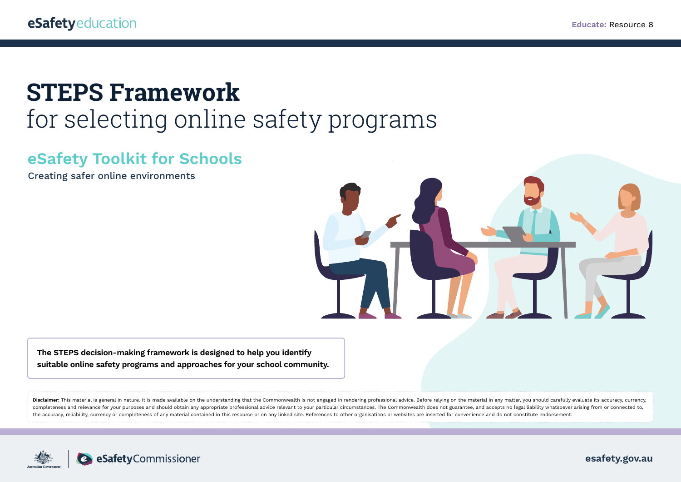# **STEPS Framework**

# for selecting online safety programs

# **eSafety Toolkit for Schools**

Creating safer online environments



**The STEPS decision-making framework is designed to help you identify suitable online safety programs and approaches for your school community.**

Disclaimer: This material is general in nature. It is made available on the understanding that the Commonwealth is not engaged in rendering professional advice. Before relying on the material in any matter, you should care completeness and relevance for your purposes and should obtain any appropriate professional advice relevant to your particular circumstances. The Commonwealth does not guarantee, and accepts no legal liability whatsoever a the accuracy, reliability, currency or completeness of any material contained in this resource or on any linked site. References to other organisations or websites are inserted for convenience and do not constitute endorse

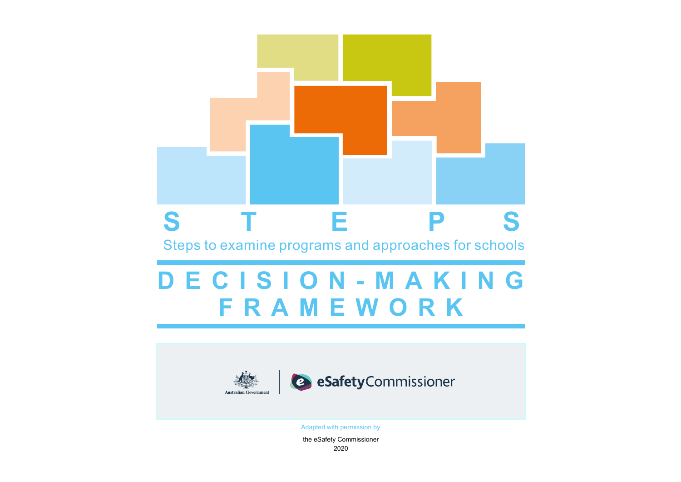



Adapted with permission by

the eSafety Commissioner 2020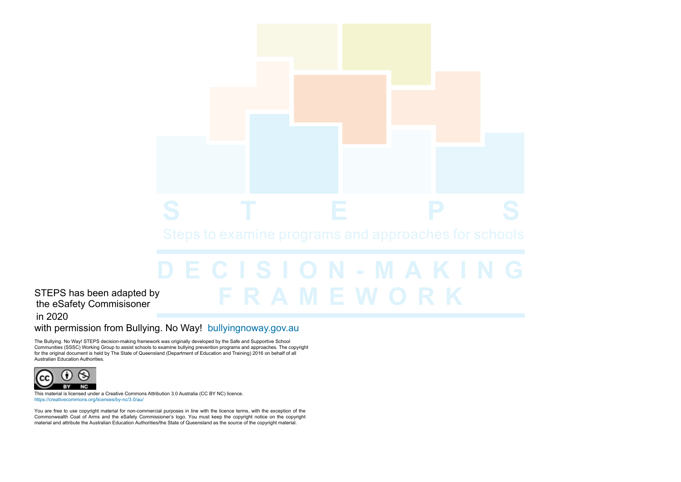#### STEPS has been adapted by the eSafety Commisisoner in 2020

#### with permission from Bullying. No Way! [bullyingnoway.gov.au](https://bullyingnoway.gov.au/)

The Bullying. No Way! STEPS decision-making framework was originally developed by the Safe and Supportive School Communities (SSSC) Working Group to assist schools to examine bullying prevention programs and approaches. The copyright for the original document is held by The State of Queensland (Department of Education and Training) 2016 on behalf of all Australian Education Authorities.



This material is licensed under a Creative Commons Attribution 3.0 Australia (CC BY NC) licence. <https://creativecommons.org/licenses/by-nc/3.0/au/>

You are free to use copyright material for non-commercial purposes in line with the licence terms, with the exception of the Commonwealth Coat of Arms and the eSafety Commissioner's logo. You must keep the copyright notice on the copyright material and attribute the Australian Education Authorities/the State of Queensland as the source of the copyright material.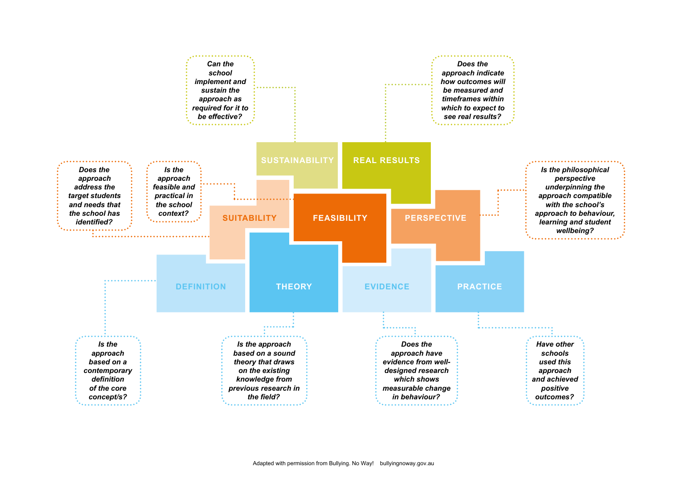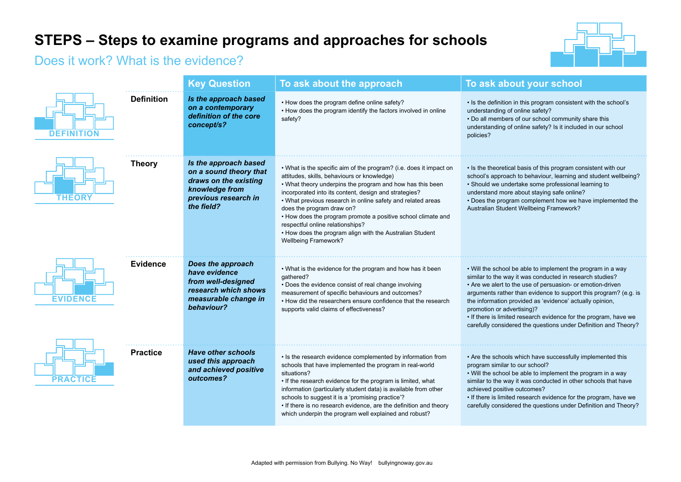## **STEPS – Steps to examine programs and approaches for schools**

### Does it work? What is the evidence?



|                 |                   | <b>Key Question</b>                                                                                                              | To ask about the approach                                                                                                                                                                                                                                                                                                                                                                                                                                                                                                          | To ask about your school                                                                                                                                                                                                                                                                                                                                                                                                                                                                   |
|-----------------|-------------------|----------------------------------------------------------------------------------------------------------------------------------|------------------------------------------------------------------------------------------------------------------------------------------------------------------------------------------------------------------------------------------------------------------------------------------------------------------------------------------------------------------------------------------------------------------------------------------------------------------------------------------------------------------------------------|--------------------------------------------------------------------------------------------------------------------------------------------------------------------------------------------------------------------------------------------------------------------------------------------------------------------------------------------------------------------------------------------------------------------------------------------------------------------------------------------|
| DEFINITION      | <b>Definition</b> | Is the approach based<br>on a contemporary<br>definition of the core<br>concept/s?                                               | • How does the program define online safety?<br>• How does the program identify the factors involved in online<br>safety?                                                                                                                                                                                                                                                                                                                                                                                                          | • Is the definition in this program consistent with the school's<br>understanding of online safety?<br>• Do all members of our school community share this<br>understanding of online safety? Is it included in our school<br>policies?                                                                                                                                                                                                                                                    |
| <b>THEORY</b>   | <b>Theory</b>     | Is the approach based<br>on a sound theory that<br>draws on the existing<br>knowledge from<br>previous research in<br>the field? | • What is the specific aim of the program? (i.e. does it impact on<br>attitudes, skills, behaviours or knowledge)<br>• What theory underpins the program and how has this been<br>incorporated into its content, design and strategies?<br>. What previous research in online safety and related areas<br>does the program draw on?<br>• How does the program promote a positive school climate and<br>respectful online relationships?<br>• How does the program align with the Australian Student<br><b>Wellbeing Framework?</b> | • Is the theoretical basis of this program consistent with our<br>school's approach to behaviour, learning and student wellbeing?<br>• Should we undertake some professional learning to<br>understand more about staying safe online?<br>• Does the program complement how we have implemented the<br>Australian Student Wellbeing Framework?                                                                                                                                             |
| <b>EVIDENCE</b> | Evidence          | Does the approach<br>have evidence<br>from well-designed<br>research which shows<br>measurable change in<br>behaviour?           | . What is the evidence for the program and how has it been<br>gathered?<br>• Does the evidence consist of real change involving<br>measurement of specific behaviours and outcomes?<br>• How did the researchers ensure confidence that the research<br>supports valid claims of effectiveness?                                                                                                                                                                                                                                    | • Will the school be able to implement the program in a way<br>similar to the way it was conducted in research studies?<br>• Are we alert to the use of persuasion- or emotion-driven<br>arguments rather than evidence to support this program? (e.g. is<br>the information provided as 'evidence' actually opinion,<br>promotion or advertising)?<br>• If there is limited research evidence for the program, have we<br>carefully considered the questions under Definition and Theory? |
| <b>PRACTICE</b> | <b>Practice</b>   | <b>Have other schools</b><br>used this approach<br>and achieved positive<br>outcomes?                                            | • Is the research evidence complemented by information from<br>schools that have implemented the program in real-world<br>situations?<br>. If the research evidence for the program is limited, what<br>information (particularly student data) is available from other<br>schools to suggest it is a 'promising practice'?<br>• If there is no research evidence, are the definition and theory<br>which underpin the program well explained and robust?                                                                          | • Are the schools which have successfully implemented this<br>program similar to our school?<br>• Will the school be able to implement the program in a way<br>similar to the way it was conducted in other schools that have<br>achieved positive outcomes?<br>• If there is limited research evidence for the program, have we<br>carefully considered the questions under Definition and Theory?                                                                                        |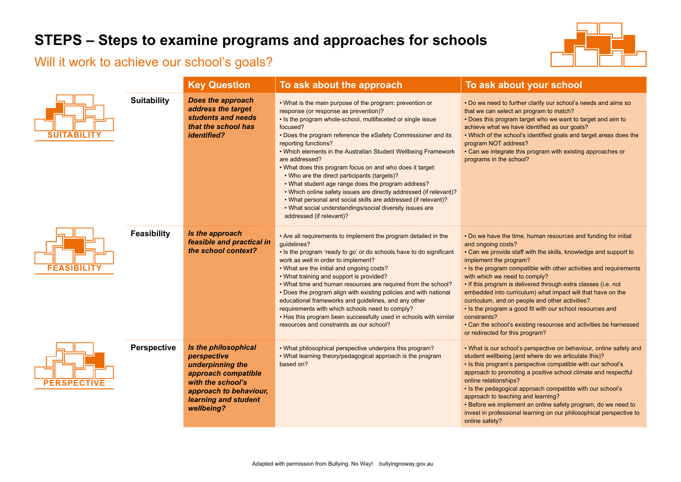# **STEPS – Steps to examine programs and approaches for schools**

### Will it work to achieve our school's goals?



|                    |                    | <b>Key Question</b>                                                                                                                                                 | To ask about the approach                                                                                                                                                                                                                                                                                                                                                                                                                                                                                                                                                                                                                                                                                                                                    | To ask about your school                                                                                                                                                                                                                                                                                                                                                                                                                                                                                                                                                                                                                                           |
|--------------------|--------------------|---------------------------------------------------------------------------------------------------------------------------------------------------------------------|--------------------------------------------------------------------------------------------------------------------------------------------------------------------------------------------------------------------------------------------------------------------------------------------------------------------------------------------------------------------------------------------------------------------------------------------------------------------------------------------------------------------------------------------------------------------------------------------------------------------------------------------------------------------------------------------------------------------------------------------------------------|--------------------------------------------------------------------------------------------------------------------------------------------------------------------------------------------------------------------------------------------------------------------------------------------------------------------------------------------------------------------------------------------------------------------------------------------------------------------------------------------------------------------------------------------------------------------------------------------------------------------------------------------------------------------|
| <b>SUITABILITY</b> | <b>Suitability</b> | <b>Does the approach</b><br>address the target<br>students and needs<br>that the school has<br><i>identified?</i>                                                   | . What is the main purpose of the program: prevention or<br>response (or response as prevention)?<br>. Is the program whole-school, multifaceted or single issue<br>focused?<br>• Does the program reference the eSafety Commissioner and its<br>reporting functions?<br>. Which elements in the Australian Student Wellbeing Framework<br>are addressed?<br>. What does this program focus on and who does it target:<br>• Who are the direct participants (targets)?<br>• What student age range does the program address?<br>. Which online safety issues are directly addressed (if relevant)?<br>• What personal and social skills are addressed (if relevant)?<br>. What social understandings/social diversity issues are<br>addressed (if relevant)? | . Do we need to further clarify our school's needs and aims so<br>that we can select an program to match?<br>. Does this program target who we want to target and aim to<br>achieve what we have identified as our goals?<br>. Which of the school's identified goals and target areas does the<br>program NOT address?<br>• Can we integrate this program with existing approaches or<br>programs in the school?                                                                                                                                                                                                                                                  |
| <b>FEASIBILITY</b> | <b>Feasibility</b> | Is the approach<br>feasible and practical in<br>the school context?                                                                                                 | • Are all requirements to implement the program detailed in the<br>guidelines?<br>• Is the program 'ready to go' or do schools have to do significant<br>work as well in order to implement?<br>• What are the initial and ongoing costs?<br>. What training and support is provided?<br>• What time and human resources are required from the school?<br>. Does the program align with existing policies and with national<br>educational frameworks and guidelines, and any other<br>requirements with which schools need to comply?<br>. Has this program been successfully used in schools with similar<br>resources and constraints as our school?                                                                                                      | • Do we have the time, human resources and funding for initial<br>and ongoing costs?<br>• Can we provide staff with the skills, knowledge and support to<br>implement the program?<br>• Is the program compatible with other activities and requirements<br>with which we need to comply?<br>. If this program is delivered through extra classes (i.e. not<br>embedded into curriculum) what impact will that have on the<br>curriculum, and on people and other activities?<br>. Is the program a good fit with our school resources and<br>constraints?<br>• Can the school's existing resources and activities be harnessed<br>or redirected for this program? |
| <b>PERSPECTIVE</b> | Perspective        | Is the philosophical<br>perspective<br>underpinning the<br>approach compatible<br>with the school's<br>approach to behaviour,<br>learning and student<br>wellbeing? | • What philosophical perspective underpins this program?<br>• What learning theory/pedagogical approach is the program<br>based on?                                                                                                                                                                                                                                                                                                                                                                                                                                                                                                                                                                                                                          | . What is our school's perspective on behaviour, online safety and<br>student wellbeing (and where do we articulate this)?<br>• Is this program's perspective compatible with our school's<br>approach to promoting a positive school climate and respectful<br>online relationships?<br>. Is the pedagogical approach compatible with our school's<br>approach to teaching and learning?<br>• Before we implement an online safety program, do we need to<br>invest in professional learning on our philosophical perspective to<br>online safety?                                                                                                                |